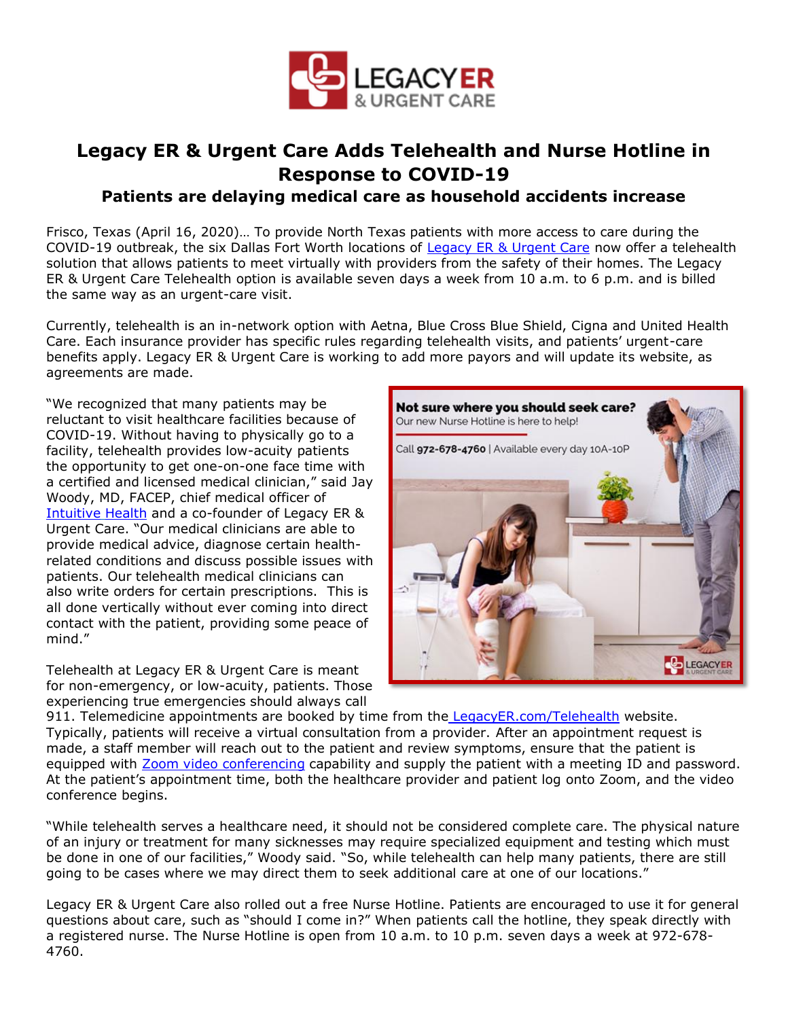

## **Legacy ER & Urgent Care Adds Telehealth and Nurse Hotline in Response to COVID-19**

## **Patients are delaying medical care as household accidents increase**

Frisco, Texas (April 16, 2020)… To provide North Texas patients with more access to care during the COVID-19 outbreak, the six Dallas Fort Worth locations of [Legacy ER & Urgent Care](https://bit.ly/3bbgU87) now offer a telehealth solution that allows patients to meet virtually with providers from the safety of their homes. The Legacy ER & Urgent Care Telehealth option is available seven days a week from 10 a.m. to 6 p.m. and is billed the same way as an urgent-care visit.

Currently, telehealth is an in-network option with Aetna, Blue Cross Blue Shield, Cigna and United Health Care. Each insurance provider has specific rules regarding telehealth visits, and patients' urgent-care benefits apply. Legacy ER & Urgent Care is working to add more payors and will update its website, as agreements are made.

"We recognized that many patients may be reluctant to visit healthcare facilities because of COVID-19. Without having to physically go to a facility, telehealth provides low-acuity patients the opportunity to get one-on-one face time with a certified and licensed medical clinician," said Jay Woody, MD, FACEP, chief medical officer of [Intuitive](https://www.iheruc.com/about-us/) [Health](https://bit.ly/2V7Kgi6) and a co-founder of Legacy ER & Urgent Care. "Our medical clinicians are able to provide medical advice, diagnose certain healthrelated conditions and discuss possible issues with patients. Our telehealth medical clinicians can also write orders for certain prescriptions. This is all done vertically without ever coming into direct contact with the patient, providing some peace of mind."

Telehealth at Legacy ER & Urgent Care is meant for non-emergency, or low-acuity, patients. Those experiencing true emergencies should always call



911. Telemedicine appointments are booked by time from the [LegacyER.com/Telehealth](https://bit.ly/2K414k3) website. Typically, patients will receive a virtual consultation from a provider. After an appointment request is made, a staff member will reach out to the patient and review symptoms, ensure that the patient is equipped with [Zoom video conferencing](https://zoom.us/profile) capability and supply the patient with a meeting ID and password. At the patient's appointment time, both the healthcare provider and patient log onto Zoom, and the video conference begins.

"While telehealth serves a healthcare need, it should not be considered complete care. The physical nature of an injury or treatment for many sicknesses may require specialized equipment and testing which must be done in one of our facilities," Woody said. "So, while telehealth can help many patients, there are still going to be cases where we may direct them to seek additional care at one of our locations."

Legacy ER & Urgent Care also rolled out a free Nurse Hotline. Patients are encouraged to use it for general questions about care, such as "should I come in?" When patients call the hotline, they speak directly with a registered nurse. The Nurse Hotline is open from 10 a.m. to 10 p.m. seven days a week at 972-678- 4760.